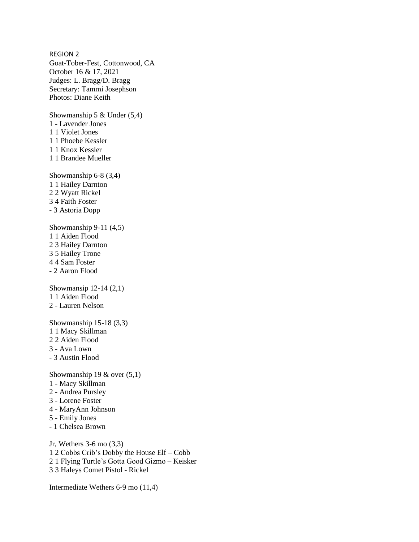REGION 2 Goat-Tober-Fest, Cottonwood, CA October 16 & 17, 2021 Judges: L. Bragg/D. Bragg Secretary: Tammi Josephson Photos: Diane Keith Showmanship 5 & Under (5,4) 1 - Lavender Jones 1 1 Violet Jones 1 1 Phoebe Kessler 1 1 Knox Kessler 1 1 Brandee Mueller Showmanship 6-8 (3,4) 1 1 Hailey Darnton 2 2 Wyatt Rickel 3 4 Faith Foster - 3 Astoria Dopp Showmanship 9-11 (4,5) 1 1 Aiden Flood 2 3 Hailey Darnton 3 5 Hailey Trone 4 4 Sam Foster - 2 Aaron Flood Showmansip 12-14 (2,1) 1 1 Aiden Flood 2 - Lauren Nelson Showmanship 15-18 (3,3) 1 1 Macy Skillman 2 2 Aiden Flood 3 - Ava Lown - 3 Austin Flood Showmanship 19  $&$  over (5,1) 1 - Macy Skillman 2 - Andrea Pursley 3 - Lorene Foster 4 - MaryAnn Johnson 5 - Emily Jones - 1 Chelsea Brown

Jr, Wethers 3-6 mo (3,3) 1 2 Cobbs Crib's Dobby the House Elf – Cobb 2 1 Flying Turtle's Gotta Good Gizmo – Keisker 3 3 Haleys Comet Pistol - Rickel

Intermediate Wethers 6-9 mo (11,4)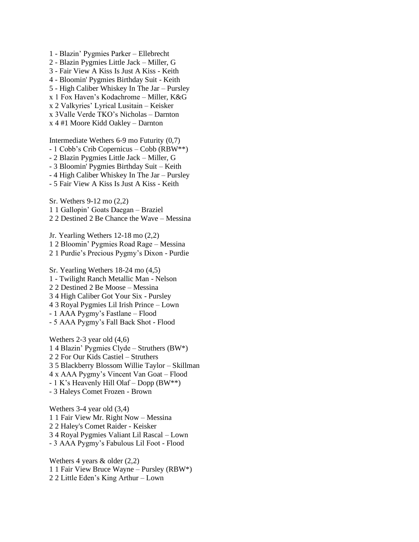1 - Blazin' Pygmies Parker – Ellebrecht 2 - Blazin Pygmies Little Jack – Miller, G 3 - Fair View A Kiss Is Just A Kiss - Keith 4 - Bloomin' Pygmies Birthday Suit - Keith 5 - High Caliber Whiskey In The Jar – Pursley x 1 Fox Haven's Kodachrome – Miller, K&G x 2 Valkyries' Lyrical Lusitain – Keisker x 3Valle Verde TKO's Nicholas – Darnton x 4 #1 Moore Kidd Oakley – Darnton

Intermediate Wethers 6-9 mo Futurity (0,7) - 1 Cobb's Crib Copernicus – Cobb (RBW\*\*) - 2 Blazin Pygmies Little Jack – Miller, G - 3 Bloomin' Pygmies Birthday Suit – Keith - 4 High Caliber Whiskey In The Jar – Pursley - 5 Fair View A Kiss Is Just A Kiss - Keith

Sr. Wethers 9-12 mo (2,2) 1 1 Gallopin' Goats Daegan – Braziel 2 2 Destined 2 Be Chance the Wave – Messina

Jr. Yearling Wethers 12-18 mo (2,2) 1 2 Bloomin' Pygmies Road Rage – Messina 2 1 Purdie's Precious Pygmy's Dixon - Purdie

Sr. Yearling Wethers 18-24 mo (4,5) 1 - Twilight Ranch Metallic Man - Nelson 2 2 Destined 2 Be Moose – Messina 3 4 High Caliber Got Your Six - Pursley 4 3 Royal Pygmies Lil Irish Prince – Lown - 1 AAA Pygmy's Fastlane – Flood - 5 AAA Pygmy's Fall Back Shot - Flood

Wethers 2-3 year old (4,6) 1 4 Blazin' Pygmies Clyde – Struthers (BW\*) 2 2 For Our Kids Castiel – Struthers 3 5 Blackberry Blossom Willie Taylor – Skillman 4 x AAA Pygmy's Vincent Van Goat – Flood - 1 K's Heavenly Hill Olaf – Dopp (BW\*\*) - 3 Haleys Comet Frozen - Brown

Wethers 3-4 year old (3,4) 1 1 Fair View Mr. Right Now – Messina 2 2 Haley's Comet Raider - Keisker 3 4 Royal Pygmies Valiant Lil Rascal – Lown - 3 AAA Pygmy's Fabulous Lil Foot - Flood

Wethers 4 years  $\&$  older (2,2) 1 1 Fair View Bruce Wayne – Pursley (RBW\*) 2 2 Little Eden's King Arthur – Lown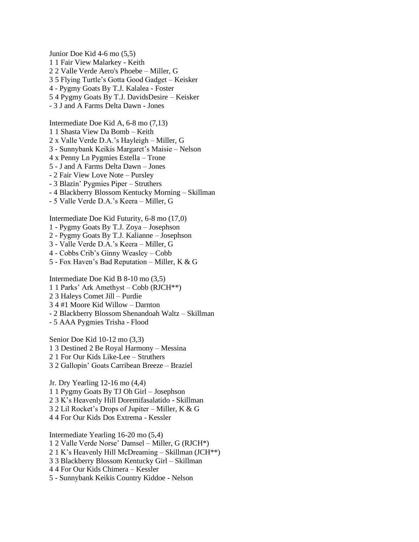Junior Doe Kid 4-6 mo (5,5) 1 1 Fair View Malarkey - Keith 2 2 Valle Verde Aero's Phoebe – Miller, G 3 5 Flying Turtle's Gotta Good Gadget – Keisker 4 - Pygmy Goats By T.J. Kalalea - Foster 5 4 Pygmy Goats By T.J. DavidsDesire – Keisker - 3 J and A Farms Delta Dawn - Jones

Intermediate Doe Kid A, 6-8 mo (7,13) 1 1 Shasta View Da Bomb – Keith 2 x Valle Verde D.A.'s Hayleigh – Miller, G 3 - Sunnybank Keikis Margaret's Maisie – Nelson 4 x Penny Ln Pygmies Estella – Trone 5 - J and A Farms Delta Dawn – Jones - 2 Fair View Love Note – Pursley - 3 Blazin' Pygmies Piper – Struthers - 4 Blackberry Blossom Kentucky Morning – Skillman - 5 Valle Verde D.A.'s Keera – Miller, G

Intermediate Doe Kid Futurity, 6-8 mo (17,0) 1 - Pygmy Goats By T.J. Zoya – Josephson

2 - Pygmy Goats By T.J. Kalianne – Josephson

- 3 Valle Verde D.A.'s Keera Miller, G
- 4 Cobbs Crib's Ginny Weasley Cobb
- 5 Fox Haven's Bad Reputation Miller, K & G

Intermediate Doe Kid B 8-10 mo (3,5) 1 1 Parks' Ark Amethyst – Cobb (RJCH\*\*) 2 3 Haleys Comet Jill – Purdie 3 4 #1 Moore Kid Willow – Darnton - 2 Blackberry Blossom Shenandoah Waltz – Skillman - 5 AAA Pygmies Trisha - Flood

Senior Doe Kid 10-12 mo (3,3) 1 3 Destined 2 Be Royal Harmony – Messina 2 1 For Our Kids Like-Lee – Struthers 3 2 Gallopin' Goats Carribean Breeze – Braziel

Jr. Dry Yearling 12-16 mo (4,4) 1 1 Pygmy Goats By TJ Oh Girl – Josephson 2 3 K's Heavenly Hill Doremifasalatido - Skillman 3 2 Lil Rocket's Drops of Jupiter – Miller, K & G 4 4 For Our Kids Dos Extrema - Kessler

Intermediate Yearling 16-20 mo (5,4) 1 2 Valle Verde Norse' Damsel – Miller, G (RJCH\*) 2 1 K's Heavenly Hill McDreaming – Skillman (JCH\*\*) 3 3 Blackberry Blossom Kentucky Girl – Skillman 4 4 For Our Kids Chimera – Kessler 5 - Sunnybank Keikis Country Kiddoe - Nelson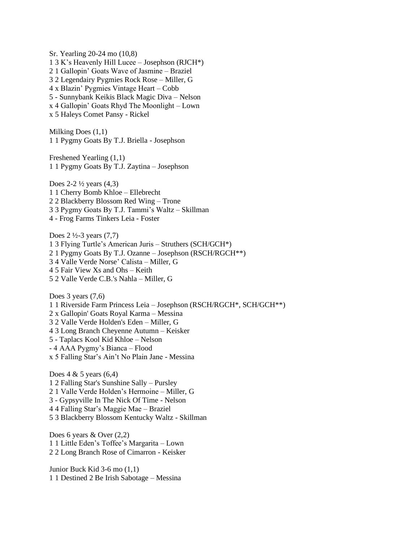Sr. Yearling 20-24 mo (10,8) 1 3 K's Heavenly Hill Lucee – Josephson (RJCH\*) 2 1 Gallopin' Goats Wave of Jasmine – Braziel 3 2 Legendairy Pygmies Rock Rose – Miller, G 4 x Blazin' Pygmies Vintage Heart – Cobb 5 - Sunnybank Keikis Black Magic Diva – Nelson x 4 Gallopin' Goats Rhyd The Moonlight – Lown x 5 Haleys Comet Pansy - Rickel

Milking Does (1,1) 1 1 Pygmy Goats By T.J. Briella - Josephson

Freshened Yearling (1,1) 1 1 Pygmy Goats By T.J. Zaytina – Josephson

Does  $2-2\frac{1}{2}$  years  $(4,3)$ 1 1 Cherry Bomb Khloe – Ellebrecht 2 2 Blackberry Blossom Red Wing – Trone 3 3 Pygmy Goats By T.J. Tammi's Waltz – Skillman 4 - Frog Farms Tinkers Leia - Foster

Does 2 ½-3 years (7,7) 1 3 Flying Turtle's American Juris – Struthers (SCH/GCH\*) 2 1 Pygmy Goats By T.J. Ozanne – Josephson (RSCH/RGCH\*\*) 3 4 Valle Verde Norse' Calista – Miller, G 4 5 Fair View Xs and Ohs – Keith 5 2 Valle Verde C.B.'s Nahla – Miller, G

Does 3 years  $(7,6)$ 1 1 Riverside Farm Princess Leia – Josephson (RSCH/RGCH\*, SCH/GCH\*\*) 2 x Gallopin' Goats Royal Karma – Messina 3 2 Valle Verde Holden's Eden – Miller, G 4 3 Long Branch Cheyenne Autumn – Keisker 5 - Taplacs Kool Kid Khloe – Nelson - 4 AAA Pygmy's Bianca – Flood x 5 Falling Star's Ain't No Plain Jane - Messina

Does  $4 \& 5 \text{ years } (6,4)$ 1 2 Falling Star's Sunshine Sally – Pursley 2 1 Valle Verde Holden's Hermoine – Miller, G 3 - Gypsyville In The Nick Of Time - Nelson 4 4 Falling Star's Maggie Mae – Braziel 5 3 Blackberry Blossom Kentucky Waltz - Skillman

Does 6 years & Over (2,2) 1 1 Little Eden's Toffee's Margarita – Lown 2 2 Long Branch Rose of Cimarron - Keisker

Junior Buck Kid 3-6 mo (1,1) 1 1 Destined 2 Be Irish Sabotage – Messina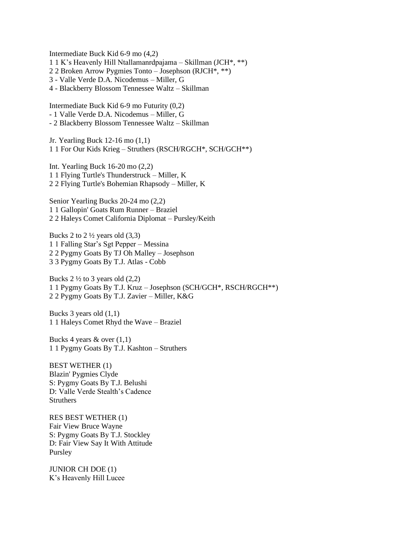Intermediate Buck Kid 6-9 mo (4,2) 1 1 K's Heavenly Hill Ntallamanrdpajama – Skillman (JCH\*, \*\*) 2 2 Broken Arrow Pygmies Tonto – Josephson (RJCH\*, \*\*) 3 - Valle Verde D.A. Nicodemus – Miller, G 4 - Blackberry Blossom Tennessee Waltz – Skillman

Intermediate Buck Kid 6-9 mo Futurity (0,2) - 1 Valle Verde D.A. Nicodemus – Miller, G - 2 Blackberry Blossom Tennessee Waltz – Skillman

Jr. Yearling Buck 12-16 mo (1,1) 1 1 For Our Kids Krieg – Struthers (RSCH/RGCH\*, SCH/GCH\*\*)

Int. Yearling Buck 16-20 mo (2,2) 1 1 Flying Turtle's Thunderstruck – Miller, K 2 2 Flying Turtle's Bohemian Rhapsody – Miller, K

Senior Yearling Bucks 20-24 mo (2,2) 1 1 Gallopin' Goats Rum Runner – Braziel 2 2 Haleys Comet California Diplomat – Pursley/Keith

Bucks 2 to  $2\frac{1}{2}$  years old  $(3,3)$ 1 1 Falling Star's Sgt Pepper – Messina 2 2 Pygmy Goats By TJ Oh Malley – Josephson 3 3 Pygmy Goats By T.J. Atlas - Cobb

Bucks  $2 \frac{1}{2}$  to 3 years old  $(2,2)$ 1 1 Pygmy Goats By T.J. Kruz – Josephson (SCH/GCH\*, RSCH/RGCH\*\*) 2 2 Pygmy Goats By T.J. Zavier – Miller, K&G

Bucks 3 years old (1,1) 1 1 Haleys Comet Rhyd the Wave – Braziel

Bucks 4 years & over (1,1) 1 1 Pygmy Goats By T.J. Kashton – Struthers

BEST WETHER (1) Blazin' Pygmies Clyde S: Pygmy Goats By T.J. Belushi D: Valle Verde Stealth's Cadence **Struthers** 

RES BEST WETHER (1) Fair View Bruce Wayne S: Pygmy Goats By T.J. Stockley D: Fair View Say It With Attitude Pursley

JUNIOR CH DOE (1) K's Heavenly Hill Lucee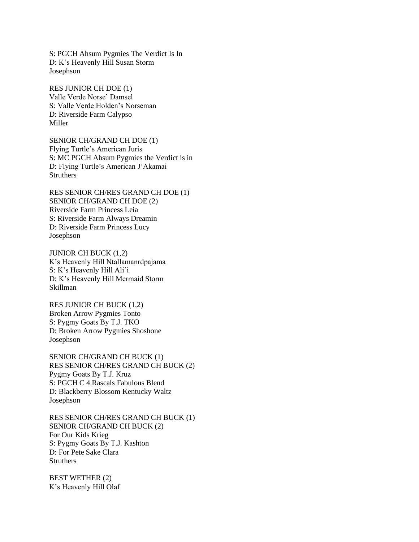S: PGCH Ahsum Pygmies The Verdict Is In D: K's Heavenly Hill Susan Storm Josephson

RES JUNIOR CH DOE (1) Valle Verde Norse' Damsel S: Valle Verde Holden's Norseman D: Riverside Farm Calypso Miller

SENIOR CH/GRAND CH DOE (1) Flying Turtle's American Juris S: MC PGCH Ahsum Pygmies the Verdict is in D: Flying Turtle's American J'Akamai **Struthers** 

RES SENIOR CH/RES GRAND CH DOE (1) SENIOR CH/GRAND CH DOE (2) Riverside Farm Princess Leia S: Riverside Farm Always Dreamin D: Riverside Farm Princess Lucy Josephson

JUNIOR CH BUCK (1,2) K's Heavenly Hill Ntallamanrdpajama S: K's Heavenly Hill Ali'i D: K's Heavenly Hill Mermaid Storm Skillman

RES JUNIOR CH BUCK (1,2) Broken Arrow Pygmies Tonto S: Pygmy Goats By T.J. TKO D: Broken Arrow Pygmies Shoshone Josephson

SENIOR CH/GRAND CH BUCK (1) RES SENIOR CH/RES GRAND CH BUCK (2) Pygmy Goats By T.J. Kruz S: PGCH C 4 Rascals Fabulous Blend D: Blackberry Blossom Kentucky Waltz Josephson

RES SENIOR CH/RES GRAND CH BUCK (1) SENIOR CH/GRAND CH BUCK (2) For Our Kids Krieg S: Pygmy Goats By T.J. Kashton D: For Pete Sake Clara **Struthers** 

BEST WETHER (2) K's Heavenly Hill Olaf